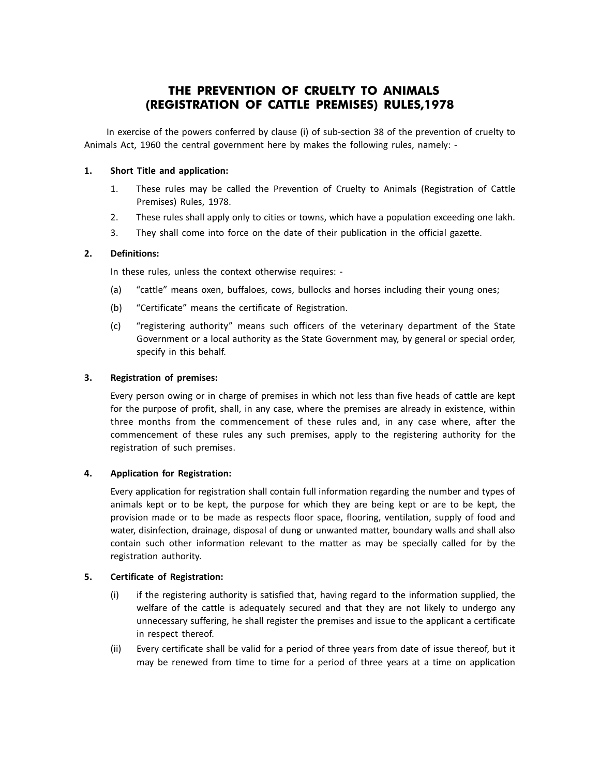# **THE PREVENTION OF CRUELTY TO ANIMALS (REGISTRATION OF CATTLE PREMISES) RULES,1978**

In exercise of the powers conferred by clause (i) of sub-section 38 of the prevention of cruelty to Animals Act, 1960 the central government here by makes the following rules, namely: -

## **1. Short Title and application:**

- 1. These rules may be called the Prevention of Cruelty to Animals (Registration of Cattle Premises) Rules, 1978.
- 2. These rules shall apply only to cities or towns, which have a population exceeding one lakh.
- 3. They shall come into force on the date of their publication in the official gazette.

## **2. Definitions:**

In these rules, unless the context otherwise requires: -

- (a) "cattle" means oxen, buffaloes, cows, bullocks and horses including their young ones;
- (b) "Certificate" means the certificate of Registration.
- (c) "registering authority" means such officers of the veterinary department of the State Government or a local authority as the State Government may, by general or special order, specify in this behalf.

#### **3. Registration of premises:**

Every person owing or in charge of premises in which not less than five heads of cattle are kept for the purpose of profit, shall, in any case, where the premises are already in existence, within three months from the commencement of these rules and, in any case where, after the commencement of these rules any such premises, apply to the registering authority for the registration of such premises.

#### **4. Application for Registration:**

Every application for registration shall contain full information regarding the number and types of animals kept or to be kept, the purpose for which they are being kept or are to be kept, the provision made or to be made as respects floor space, flooring, ventilation, supply of food and water, disinfection, drainage, disposal of dung or unwanted matter, boundary walls and shall also contain such other information relevant to the matter as may be specially called for by the registration authority.

# **5. Certificate of Registration:**

- (i) if the registering authority is satisfied that, having regard to the information supplied, the welfare of the cattle is adequately secured and that they are not likely to undergo any unnecessary suffering, he shall register the premises and issue to the applicant a certificate in respect thereof.
- (ii) Every certificate shall be valid for a period of three years from date of issue thereof, but it may be renewed from time to time for a period of three years at a time on application